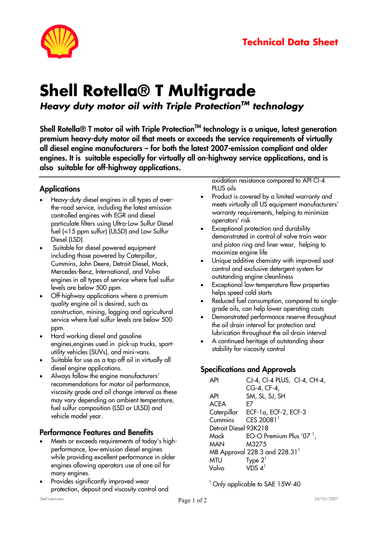

# **Shell Rotella® T Multigrade** *Heavy duty motor oil with Triple ProtectionTM technology*

**Shell Rotella® T motor oil with Triple ProtectionTM technology is a unique, latest generation premium heavy-duty motor oil that meets or exceeds the service requirements of virtually all diesel engine manufacturers – for both the latest 2007-emission compliant and older engines. It is suitable especially for virtually all on-highway service applications, and is also suitable for off-highway applications.** 

### **Applications**

- Heavy-duty diesel engines in all types of overthe-road service, including the latest emission controlled engines with EGR and diesel particulate filters using Ultra-Low Sulfur Diesel fuel (<15 ppm sulfur) (ULSD) and Low Sulfur Diesel (LSD).
- Suitable for diesel powered equipment including those powered by Caterpillar, Cummins, John Deere, Detroit Diesel, Mack, Mercedes-Benz, International, and Volvo engines in all types of service where fuel sulfur levels are below 500 ppm.
- Off-highway applications where a premium quality engine oil is desired, such as construction, mining, logging and agricultural service where fuel sulfur levels are below 500 ppm.
- Hard working diesel and gasoline engines,engines used in pick-up trucks, sportutility vehicles (SUVs), and mini-vans.
- Suitable for use as a top-off oil in virtually all diesel engine applications.
- Always follow the engine manufacturers' recommendations for motor oil performance, viscosity grade and oil change interval as these may vary depending on ambient temperature, fuel sulfur composition (LSD or ULSD) and vehicle model year.

### **Performance Features and Benefits**

- Meets or exceeds requirements of today's highperformance, low-emission diesel engines while providing excellent performance in older engines allowing operators use of one oil for many engines.
- Provides significantly improved wear protection, deposit and viscosity control and

oxidation resistance compared to API CI-4 PLUS oils

- Product is covered by a limited warranty and meets virtually all US equipment manufacturers' warranty requirements, helping to minimize operators' risk
- Exceptional protection and durability demonstrated in control of valve train wear and piston ring and liner wear, helping to maximize engine life
- Unique additive chemistry with improved soot control and exclusive detergent system for outstanding engine cleanliness
- Exceptional low-temperature flow properties helps speed cold starts
- Reduced fuel consumption, compared to singlegrade oils, can help lower operating costs
- Demonstrated performance reserve throughout the oil drain interval for protection and lubrication throughout the oil drain interval
- A continued heritage of outstanding shear stability for viscosity control

# **Specifications and Approvals**

| ΑPI                   | CJ-4, CI-4 PLUS, CI-4, CH-4,              |
|-----------------------|-------------------------------------------|
|                       | CG-4, CF-4,                               |
| API                   | SM, SL, SJ, SH                            |
| <b>ACEA</b>           | F7                                        |
|                       | Caterpillar ECF-1a, ECF-2, ECF-3          |
| Cummins               | CES 20081 <sup>1</sup>                    |
| Detroit Diesel 93K218 |                                           |
| Mack                  | EO-O Premium Plus '07 $^1$ ,              |
| <b>MAN</b>            | M3275                                     |
|                       | MB Approval 228.3 and 228.31 <sup>1</sup> |
| <b>MTU</b>            | Type $2^1$                                |
| Volvo                 | VDS $4^1$                                 |

<sup>1</sup> Only applicable to SAE 15W-40